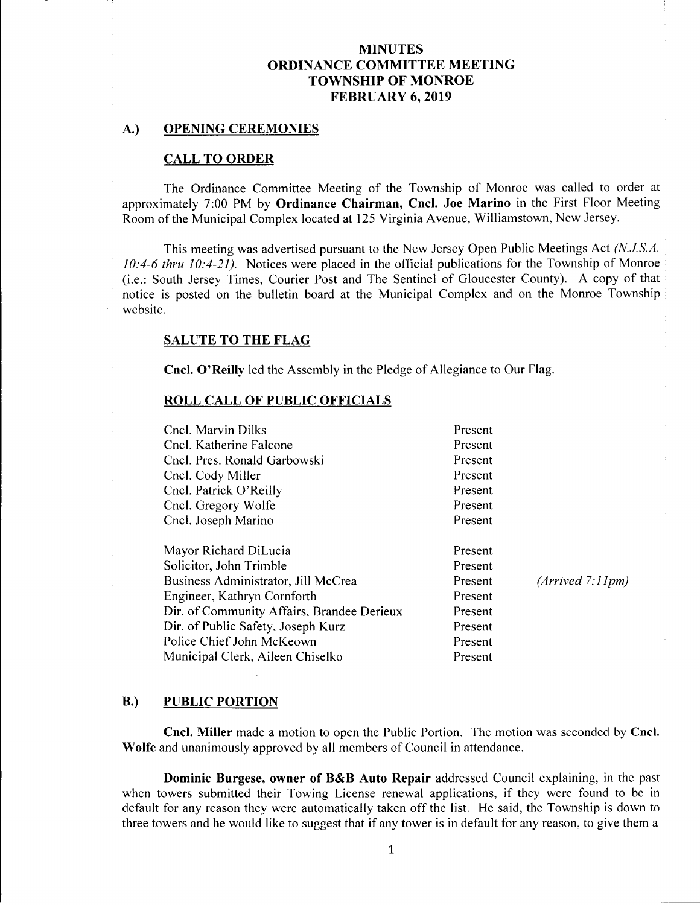### A.) OPENING CEREMONIES

### CALL TO ORDER

The Ordinance Committee Meeting of the Township of Monroe was called to order at approximately 7:00 PM by Ordinance Chairman, Cncl. Joe Marino in the First Floor Meeting Room of the Municipal Complex located at 125 Virginia Avenue, Williamstown, New Jersey.

This meeting was advertised pursuant to the New Jersey Open Public Meetings Act (N.J.S.A.  $10:4-6$  thru  $10:4-21$ ). Notices were placed in the official publications for the Township of Monroe i. e.: South Jersey Times, Courier Post and The Sentinel of Gloucester County). A copy of that notice is posted on the bulletin board at the Municipal Complex and on the Monroe Township website.

### SALUTE TO THE FLAG

Cncl. O'Reilly led the Assembly in the Pledge of Allegiance to Our Flag.

### ROLL CALL OF PUBLIC OFFICIALS

| Cncl. Marvin Dilks                         | Present |                  |
|--------------------------------------------|---------|------------------|
| Cncl. Katherine Falcone                    | Present |                  |
| Cncl. Pres. Ronald Garbowski               | Present |                  |
| Cncl. Cody Miller                          | Present |                  |
| Cncl. Patrick O'Reilly                     | Present |                  |
| Cncl. Gregory Wolfe                        | Present |                  |
| Cncl. Joseph Marino                        | Present |                  |
| Mayor Richard DiLucia                      | Present |                  |
| Solicitor, John Trimble                    | Present |                  |
| Business Administrator, Jill McCrea        | Present | (Arrived 7.11pm) |
| Engineer, Kathryn Cornforth                | Present |                  |
| Dir. of Community Affairs, Brandee Derieux | Present |                  |
| Dir. of Public Safety, Joseph Kurz         | Present |                  |
| Police Chief John McKeown                  | Present |                  |
| Municipal Clerk, Aileen Chiselko           | Present |                  |
|                                            |         |                  |

### B.) PUBLIC PORTION

Cncl. Miller made <sup>a</sup> motion to open the Public Portion. The motion was seconded by Cncl. Wolfe and unanimously approved by all members of Council in attendance.

Dominic Burgese, owner of B&B Auto Repair addressed Council explaining, in the past when towers submitted their Towing License renewal applications, if they were found to be in default for any reason they were automatically taken off the list. He said, the Township is down to three towers and he would like to suggest that if any tower is in default for any reason, to give them <sup>a</sup>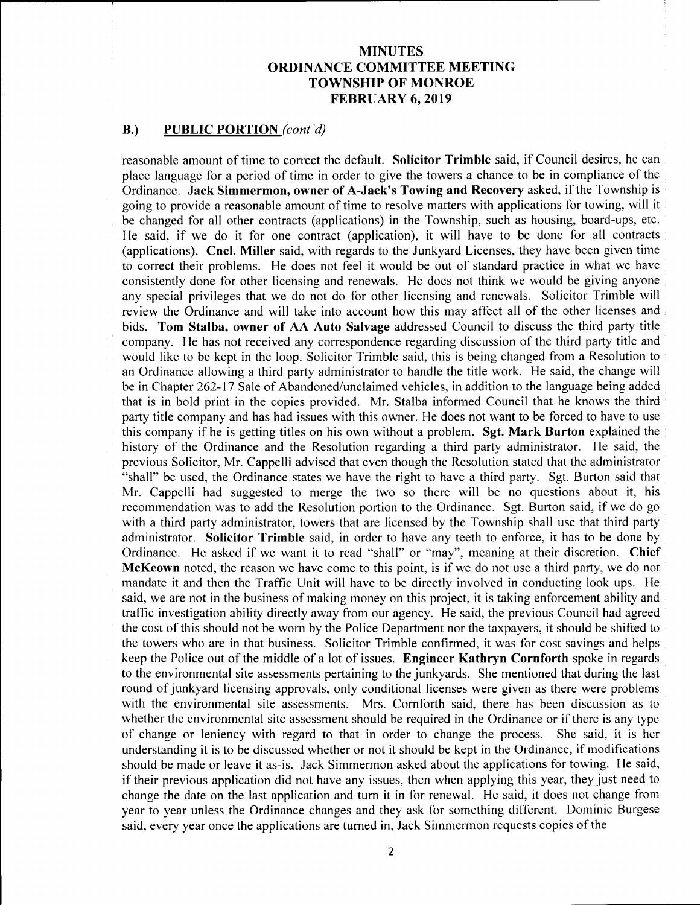### B.) PUBLIC PORTION (cont'd)

reasonable amount of time to correct the default. Solicitor Trimble said, if Council desires, he can place language for <sup>a</sup> period of time in order to give the towers a chance to be in compliance of the Ordinance. Jack Simmermon, owner of A-Jack's Towing and Recovery asked, if the Township is going to provide <sup>a</sup> reasonable amount of time to resolve matters with applications for towing, will it be changed for all other contracts ( applications) in the Township, such as housing, board-ups, etc. He said, if we do it for one contract (application), it will have to be done for all contracts applications). Cncl. Miller said, with regards to the Junkyard Licenses, they have been given time to correct their problems. He does not feel it would be out of standard practice in what we have consistently done for other licensing and renewals. He does not think we would be giving anyone any special privileges that we do not do for other licensing and renewals. Solicitor Trimble will review the Ordinance and will take into account how this may affect all of the other licenses and bids. Tom Stalba, owner of AA Auto Salvage addressed Council to discuss the third party title company. He has not received any correspondence regarding discussion of the third party title and would like to be kept in the loop. Solicitor Trimble said, this is being changed from a Resolution to an Ordinance allowing <sup>a</sup> third party administrator to handle the title work. He said, the change will be in Chapter 262-17 Sale of Abandoned/unclaimed vehicles, in addition to the language being added that is in bold print in the copies provided. Mr. Stalba informed Council that he knows the third party title company and has had issues with this owner. He does not want to be forced to have to use this company if he is getting titles on his own without <sup>a</sup> problem. Sgt. Mark Burton explained the history of the Ordinance and the Resolution regarding <sup>a</sup> third party administrator. He said, the previous Solicitor, Mr. Cappelli advised that even though the Resolution stated that the administrator shall" be used, the Ordinance states we have the right to have <sup>a</sup> third party. Sgt. Burton said that Mr. Cappelli had suggested to merge the two so there will be no questions about it, his recommendation was to add the Resolution portion to the Ordinance. Sgt. Burton said, if we do go with a third party administrator, towers that are licensed by the Township shall use that third party administrator. Solicitor Trimble said, in order to have any teeth to enforce, it has to be done by Ordinance. He asked if we want it to read "shall" or "may", meaning at their discretion. Chief McKeown noted, the reason we have come to this point, is if we do not use a third party, we do not mandate it and then the Traffic Unit will have to be directly involved in conducting look ups. He said, we are not in the business of making money on this project, it is taking enforcement ability and traffic investigation ability directly away from our agency. He said, the previous Council had agreed the cost of this should not be worn by the Police Department nor the taxpayers, it should be shifted to the towers who are in that business. Solicitor Trimble confirmed, it was for cost savings and helps keep the Police out of the middle of <sup>a</sup> lot of issues. Engineer Kathryn Cornforth spoke in regards to the environmental site assessments pertaining to the junkyards. She mentioned that during the last round of junkyard licensing approvals, only conditional licenses were given as there were problems with the environmental site assessments. Mrs. Cornforth said, there has been discussion as to whether the environmental site assessment should be required in the Ordinance or if there is any type of change or leniency with regard to that in order to change the process. She said, it is her understanding it is to be discussed whether or not it should be kept in the Ordinance, if modifications should be made or leave it as-is. Jack Simmermon asked about the applications for towing. He said, if their previous application did not have any issues, then when applying this year, they just need to change the date on the last application and turn it in for renewal. He said, it does not change from year to year unless the Ordinance changes and they ask for something different. Dominic Burgese said, every year once the applications are turned in, Jack Simmermon requests copies of the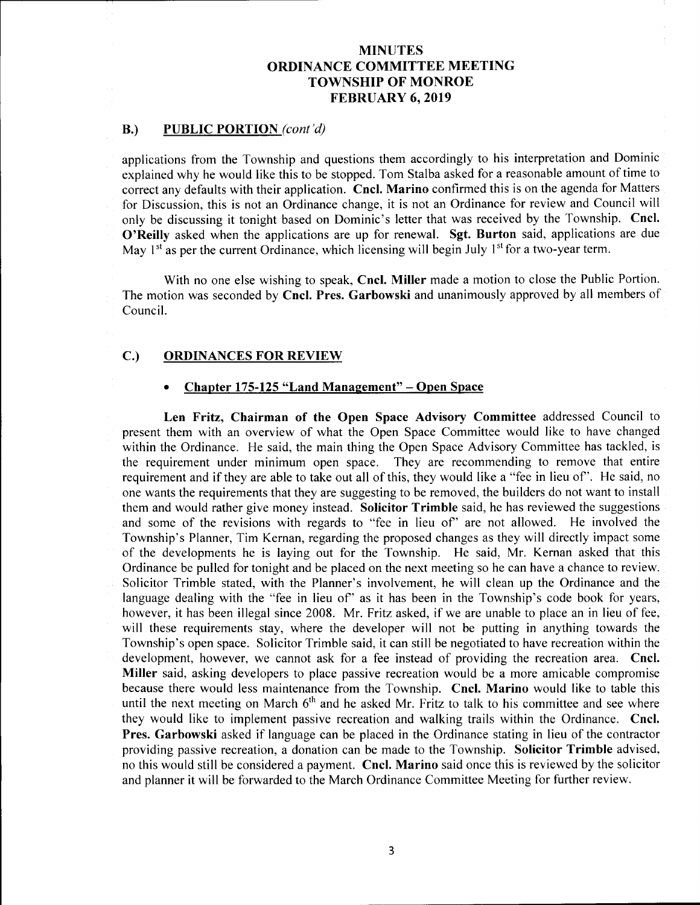## B.) PUBLIC PORTION (cont'd)

applications from the Township and questions them accordingly to his interpretation and Dominic explained why he would like this to be stopped. Tom Stalba asked for <sup>a</sup> reasonable amount of time to correct any defaults with their application. Cncl. Marino confirmed this is on the agenda for Matters for Discussion, this is not an Ordinance change, it is not an Ordinance for review and Council will only be discussing it tonight based on Dominic's letter that was received by the Township. Cncl. O'Reilly asked when the applications are up for renewal. Sgt. Burton said, applications are due May 1<sup>st</sup> as per the current Ordinance, which licensing will begin July 1<sup>st</sup> for a two-year term.

With no one else wishing to speak, Cncl. Miller made <sup>a</sup> motion to close the Public Portion. The motion was seconded by Cncl. Pres. Garbowski and unanimously approved by all members of Council.

# C.) ORDINANCES FOR REVIEW

### Chapter 175-125 "Land Management" - Open Space

Len Fritz, Chairman of the Open Space Advisory Committee addressed Council to present them with an overview of what the Open Space Committee would like to have changed within the Ordinance. He said, the main thing the Open Space Advisory Committee has tackled, is the requirement under minimum open space. They are recommending to remove that entire They are recommending to remove that entire. requirement and if they are able to take out all of this, they would like a " fee in lieu of". He said, no one wants the requirements that they are suggesting to be removed, the builders do not want to install them and would rather give money instead. Solicitor Trimble said, he has reviewed the suggestions and some of the revisions with regards to "fee in lieu of" are not allowed. He involved the Township's Planner, Tim Kernan, regarding the proposed changes as they will directly impact some of the developments he is laying out for the Township. He said, Mr. Kernan asked that this Ordinance be pulled for tonight and be placed on the next meeting so he can have a chance to review. Solicitor Trimble stated, with the Planner's involvement, he will clean up the Ordinance and the language dealing with the "fee in lieu of" as it has been in the Township's code book for years, however, it has been illegal since 2008. Mr. Fritz asked, if we are unable to place an in lieu of fee, will these requirements stay, where the developer will not be putting in anything towards the Township's open space. Solicitor Trimble said, it can still be negotiated to have recreation within the development, however, we cannot ask for <sup>a</sup> fee instead of providing the recreation area. Cncl. Miller said, asking developers to place passive recreation would be a more amicable compromise because there would less maintenance from the Township. Cncl. Marino would like to table this until the next meeting on March  $6<sup>th</sup>$  and he asked Mr. Fritz to talk to his committee and see where they would like to implement passive recreation and walking trails within the Ordinance. Cncl. Pres. Garbowski asked if language can be placed in the Ordinance stating in lieu of the contractor providing passive recreation, a donation can be made to the Township. Solicitor Trimble advised, no this would still be considered <sup>a</sup> payment. Cncl. Marino said once this is reviewed by the solicitor and planner it will be forwarded to the March Ordinance Committee Meeting for further review.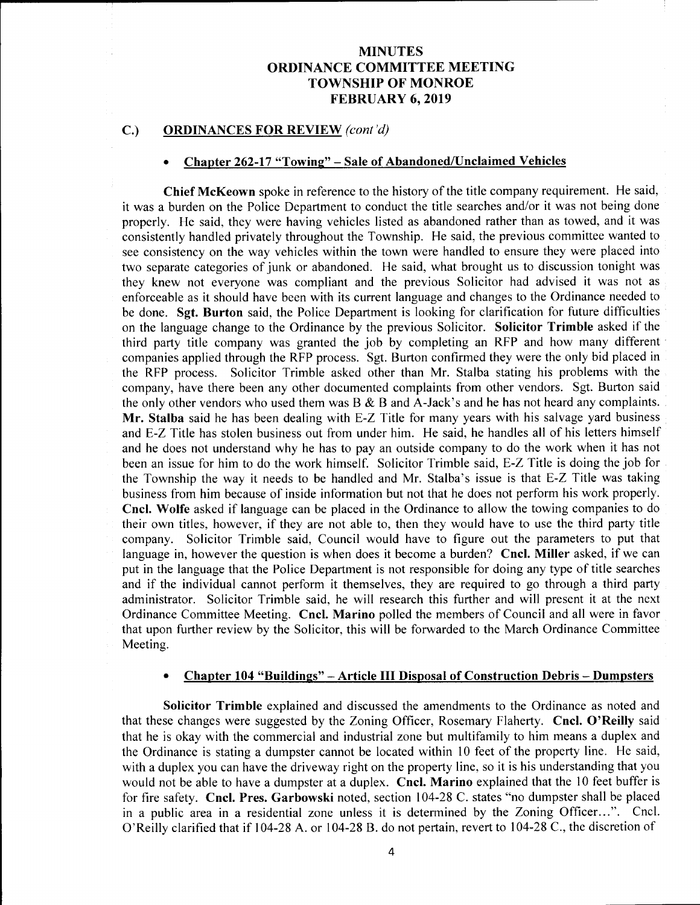### C.) ORDINANCES FOR REVIEW (cont'd)

#### Chapter 262-17 "Towing" – Sale of Abandoned/Unclaimed Vehicles

Chief McKeown spoke in reference to the history of the title company requirement. He said, it was a burden on the Police Department to conduct the title searches and/or it was not being done properly. He said, they were having vehicles listed as abandoned rather than as towed, and it was consistently handled privately throughout the Township. He said, the previous committee wanted to see consistency on the way vehicles within the town were handled to ensure they were placed into two separate categories of junk or abandoned. He said, what brought us to discussion tonight was they knew not everyone was compliant and the previous Solicitor had advised it was not as enforceable as it should have been with its current language and changes to the Ordinance needed to be done. Sgt. Burton said, the Police Department is looking for clarification for future difficulties on the language change to the Ordinance by the previous Solicitor. Solicitor Trimble asked if the third party title company was granted the job by completing an RFP and how many different companies applied through the RFP process. Sgt. Burton confirmed they were the only bid placed in the RFP process. Solicitor Trimble asked other than Mr. Stalba stating his problems with the company, have there been any other documented complaints from other vendors. Sgt. Burton said the only other vendors who used them was  $B \& B$  and A-Jack's and he has not heard any complaints. Mr. Stalba said he has been dealing with E-Z Title for many years with his salvage yard business and E-Z Title has stolen business out from under him. He said, he handles all of his letters himself and he does not understand why he has to pay an outside company to do the work when it has not been an issue for him to do the work himself. Solicitor Trimble said, E-Z Title is doing the job for the Township the way it needs to be handled and Mr. Stalba's issue is that E-Z Title was taking business from him because of inside information but not that he does not perform his work properly. Cncl. Wolfe asked if language can be placed in the Ordinance to allow the towing companies to do their own titles, however, if they are not able to, then they would have to use the third party title company. Solicitor Trimble said, Council would have to figure out the parameters to put that language in, however the question is when does it become a burden? Cncl. Miller asked, if we can put in the language that the Police Department is not responsible for doing any type of title searches and if the individual cannot perform it themselves, they are required to go through <sup>a</sup> third party administrator. Solicitor Trimble said, he will research this further and will present it at the next Ordinance Committee Meeting. Cncl. Marino polled the members of Council and all were in favor that upon further review by the Solicitor, this will be forwarded to the March Ordinance Committee Meeting.

#### Chapter 104 " Buildings"— Article III Disposal of Construction Debris—Dumpsters  $\bullet$

Solicitor Trimble explained and discussed the amendments to the Ordinance as noted and that these changes were suggested by the Zoning Officer, Rosemary Flaherty. Cncl. O'Reilly said that he is okay with the commercial and industrial zone but multifamily to him means a duplex and the Ordinance is stating <sup>a</sup> dumpster cannot be located within <sup>10</sup> feet of the property line. He said, with <sup>a</sup> duplex you can have the driveway right on the property line, so it is his understanding that you would not be able to have <sup>a</sup> dumpster at <sup>a</sup> duplex. Cncl. Marino explained that the 10 feet buffer is for fire safety. Cncl. Pres. Garbowski noted, section 104-28 C. states "no dumpster shall be placed in <sup>a</sup> public area in <sup>a</sup> residential zone unless it is determined by the Zoning Officer...". Cncl. O'Reilly clarified that if 104-28 A. or 104-28 B. do not pertain, revert to 104-28 C., the discretion of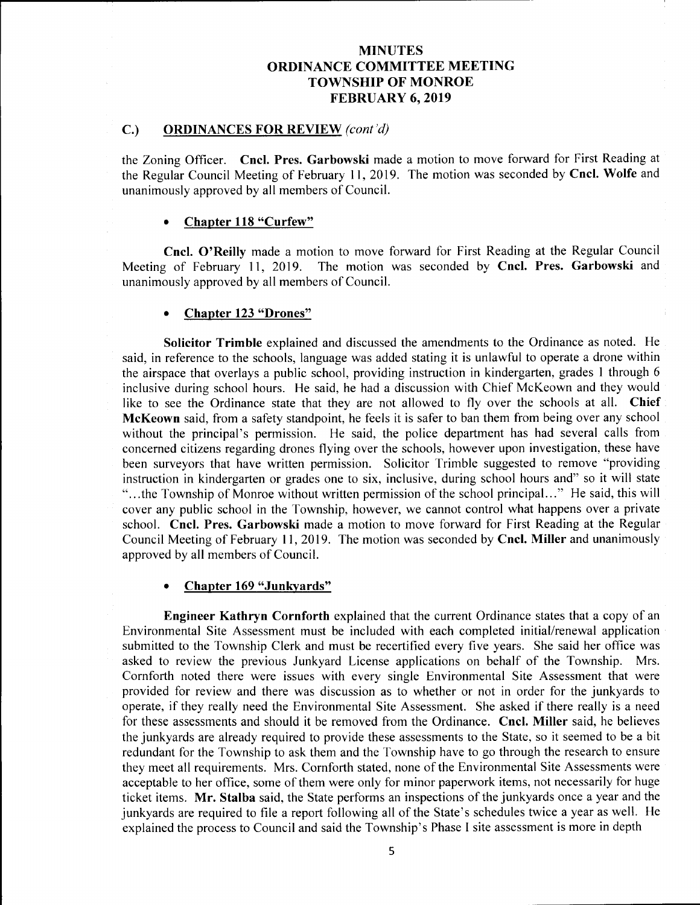## C.) ORDINANCES FOR REVIEW (cont'd)

the Zoning Officer. Cncl. Pres. Garbowski made <sup>a</sup> motion to move forward for First Reading at the Regular Council Meeting of February 11, 2019. The motion was seconded by Cncl. Wolfe and unanimously approved by all members of Council.

### Chapter 118 "Curfew"

Cncl. O'Reilly made a motion to move forward for First Reading at the Regular Council Meeting of February 11, 2019. The motion was seconded by Cncl. Pres. Garbowski and unanimously approved by all members of Council.

### Chapter 123 "Drones"

Solicitor Trimble explained and discussed the amendments to the Ordinance as noted. He said, in reference to the schools, language was added stating it is unlawful to operate a drone within the airspace that overlays a public school, providing instruction in kindergarten, grades <sup>1</sup> through 6 inclusive during school hours. He said, he had <sup>a</sup> discussion with Chief McKeown and they would like to see the Ordinance state that they are not allowed to fly over the schools at all. Chief McKeown said, from a safety standpoint, he feels it is safer to ban them from being over any school without the principal's permission. He said, the police department has had several calls from concerned citizens regarding drones flying over the schools, however upon investigation, these have been surveyors that have written permission. Solicitor Trimble suggested to remove "providing instruction in kindergarten or grades one to six, inclusive, during school hours and" so it will state "...the Township of Monroe without written permission of the school principal..." He said, this will cover any public school in the Township, however, we cannot control what happens over a private school. Cncl. Pres. Garbowski made <sup>a</sup> motion to move forward for First Reading at the Regular Council Meeting of February 11, 2019. The motion was seconded by Cncl. Miller and unanimously approved by all members of Council.

#### Chapter 169 "Junkyards"

Engineer Kathryn Cornforth explained that the current Ordinance states that <sup>a</sup> copy of an Environmental Site Assessment must be included with each completed initial/renewal application submitted to the Township Clerk and must be recertified every five years. She said her office was asked to review the previous Junkvard License applications on behalf of the Township. Mrs. asked to review the previous Junkyard License applications on behalf of the Township. Cornforth noted there were issues with every single Environmental Site Assessment that were provided for review and there was discussion as to whether or not in order for the junkyards to operate, if they really need the Environmental Site Assessment. She asked if there really is <sup>a</sup> need for these assessments and should it be removed from the Ordinance. Cncl. Miller said, he believes the junkyards are already required to provide these assessments to the State, so it seemed to be a bit redundant for the Township to ask them and the Township have to go through the research to ensure they meet all requirements. Mrs. Cornforth stated, none of the Environmental Site Assessments were acceptable to her office, some of them were only for minor paperwork items, not necessarily for huge ticket items. Mr. Stalba said, the State performs an inspections of the junkyards once <sup>a</sup> year and the junkyards are required to file a report following all of the State's schedules twice a year as well. He explained the process to Council and said the Township's Phase I site assessment is more in depth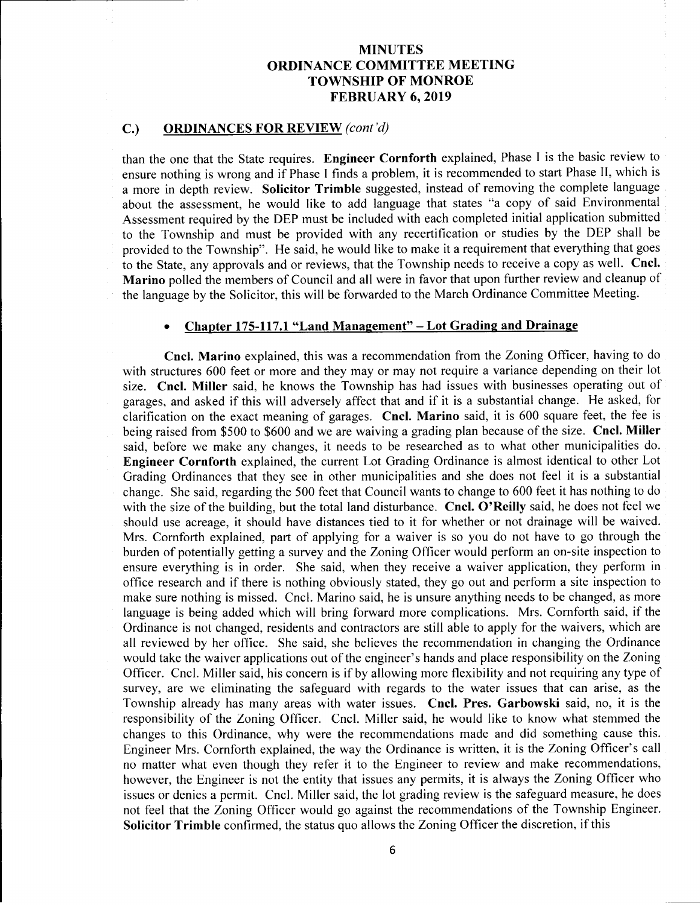# C.) ORDINANCES FOR REVIEW (cont'd)

than the one that the State requires. Engineer Cornforth explained, Phase <sup>I</sup> is the basic review to ensure nothing is wrong and if Phase <sup>I</sup> finds <sup>a</sup> problem, it is recommended to start Phase II, which is <sup>a</sup> more in depth review. Solicitor Trimble suggested, instead of removing the complete language about the assessment, he would like to add language that states "a copy of said Environmental Assessment required by the DEP must be included with each completed initial application submitted to the Township and must be provided with any recertification or studies by the DEP shall be provided to the Township". He said, he would like to make it <sup>a</sup> requirement that everything that goes to the State, any approvals and or reviews, that the Township needs to receive <sup>a</sup> copy as well. Cncl. Marino polled the members of Council and all were in favor that upon further review and cleanup of the language by the Solicitor, this will be forwarded to the March Ordinance Committee Meeting.

# Chapter 175-117.1 "Land Management" - Lot Grading and Drainage

Cncl. Marino explained, this was <sup>a</sup> recommendation from the Zoning Officer, having to do with structures 600 feet or more and they may or may not require a variance depending on their lot size. Cncl. Miller said, he knows the Township has had issues with businesses operating out of garages, and asked if this will adversely affect that and if it is <sup>a</sup> substantial change. He asked, for clarification on the exact meaning of garages. Cncl. Marino said, it is <sup>600</sup> square feet, the fee is being raised from \$500 to \$600 and we are waiving a grading plan because of the size. Cncl. Miller said, before we make any changes, it needs to be researched as to what other municipalities do. Engineer Cornforth explained, the current Lot Grading Ordinance is almost identical to other Lot Grading Ordinances that they see in other municipalities and she does not feel it is a substantial change. She said, regarding the 500 feet that Council wants to change to 600 feet it has nothing to do with the size of the building, but the total land disturbance. Cncl. O'Reilly said, he does not feel we should use acreage, it should have distances tied to it for whether or not drainage will be waived. Mrs. Cornforth explained, part of applying for <sup>a</sup> waiver is so you do not have to go through the burden of potentially getting <sup>a</sup> survey and the Zoning Officer would perform an on- site inspection to ensure everything is in order. She said, when they receive <sup>a</sup> waiver application, they perform in office research and if there is nothing obviously stated, they go out and perform <sup>a</sup> site inspection to make sure nothing is missed. Cncl. Marino said, he is unsure anything needs to be changed, as more language is being added which will bring forward more complications. Mrs. Cornforth said, if the Ordinance is not changed, residents and contractors are still able to apply for the waivers, which are all reviewed by her office. She said, she believes the recommendation in changing the Ordinance would take the waiver applications out of the engineer's hands and place responsibility on the Zoning Officer. Cncl. Miller said, his concern is if by allowing more flexibility and not requiring any type of survey, are we eliminating the safeguard with regards to the water issues that can arise, as the Township already has many areas with water issues. Cncl. Pres. Garbowski said, no, it is the responsibility of the Zoning Officer. Cncl. Miller said, he would like to know what stemmed the changes to this Ordinance, why were the recommendations made and did something cause this. Engineer Mrs. Cornforth explained, the way the Ordinance is written, it is the Zoning Officer's call no matter what even though they refer it to the Engineer to review and make recommendations, however, the Engineer is not the entity that issues any permits, it is always the Zoning Officer who issues or denies <sup>a</sup> permit. Cncl. Miller said, the lot grading review is the safeguard measure, he does not feel that the Zoning Officer would go against the recommendations of the Township Engineer. Solicitor Trimble confirmed, the status quo allows the Zoning Officer the discretion, if this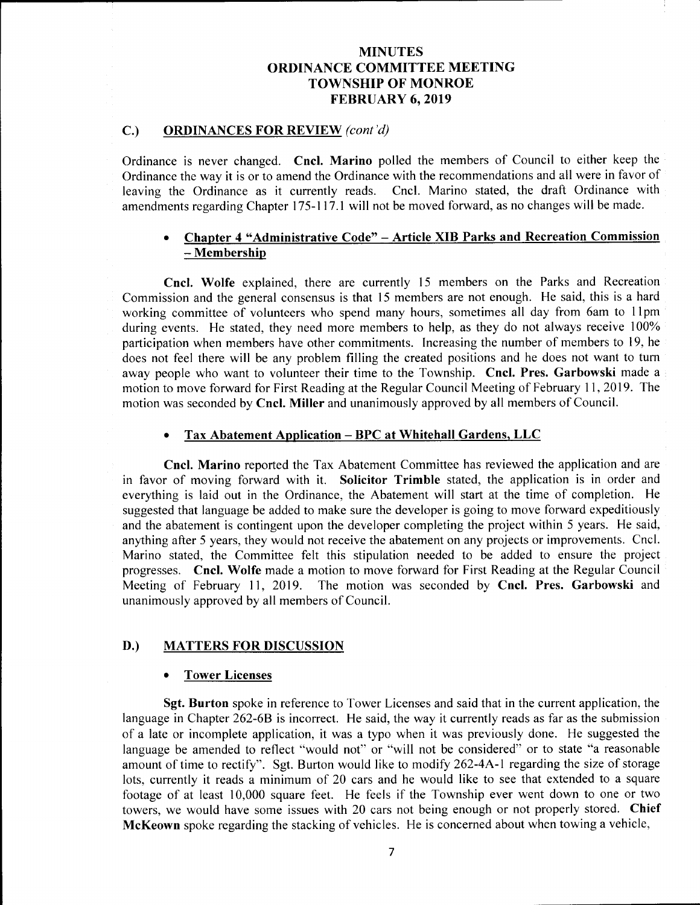# C.) ORDINANCES FOR REVIEW (cont'd)

Ordinance is never changed. Cncl. Marino polled the members of Council to either keep the Ordinance the way it is or to amend the Ordinance with the recommendations and all were in favor of leaving the Ordinance as it currently reads. Cncl. Marino stated, the draft Ordinance with amendments regarding Chapter 175-117.1 will not be moved forward, as no changes will be made.

# Chapter 4 " Administrative Code" — Article XIB Parks and Recreation Commission Membership

Cncl. Wolfe explained, there are currently <sup>15</sup> members on the Parks and Recreation Commission and the general consensus is that 15 members are not enough. He said, this is a hard working committee of volunteers who spend many hours, sometimes all day from 6am to 11pm during events. He stated, they need more members to help, as they do not always receive 100% participation when members have other commitments. Increasing the number of members to 19, he does not feel there will be any problem filling the created positions and he does not want to turn away people who want to volunteer their time to the Township. Cncl. Pres. Garbowski made <sup>a</sup> motion to move forward for First Reading at the Regular Council Meeting of February 11, 2019. The motion was seconded by Cncl. Miller and unanimously approved by all members of Council.

### Tax Abatement Application—BPC at Whitehall Gardens, LLC

Cncl. Marino reported the Tax Abatement Committee has reviewed the application and are in favor of moving forward with it. Solicitor Trimble stated, the application is in order and everything is laid out in the Ordinance, the Abatement will start at the time of completion. He suggested that language be added to make sure the developer is going to move forward expeditiously and the abatement is contingent upon the developer completing the project within <sup>5</sup> years. He said, anything after 5 years, they would not receive the abatement on any projects or improvements. Cncl. Marino stated, the Committee felt this stipulation needed to be added to ensure the project progresses. Cncl. Wolfe made a motion to move forward for First Reading at the Regular Council<br>Meeting of February 11, 2019. The motion was seconded by Cncl. Pres. Garbowski and The motion was seconded by Cncl. Pres. Garbowski and unanimously approved by all members of Council.

### D.) MATTERS FOR DISCUSSION

### Tower Licenses

Sgt. Burton spoke in reference to Tower Licenses and said that in the current application, the language in Chapter 262-6B is incorrect. He said, the way it currently reads as far as the submission of <sup>a</sup> late or incomplete application, it was <sup>a</sup> typo when it was previously done. He suggested the language be amended to reflect "would not" or "will not be considered" or to state "a reasonable amount of time to rectify". Sgt. Burton would like to modify 262-4A-1 regarding the size of storage lots, currently it reads <sup>a</sup> minimum of 20 cars and he would like to see that extended to <sup>a</sup> square footage of at least 10,000 square feet. He feels if the Township ever went down to one or two towers, we would have some issues with <sup>20</sup> cars not being enough or not properly stored. Chief McKeown spoke regarding the stacking of vehicles. He is concerned about when towing <sup>a</sup> vehicle,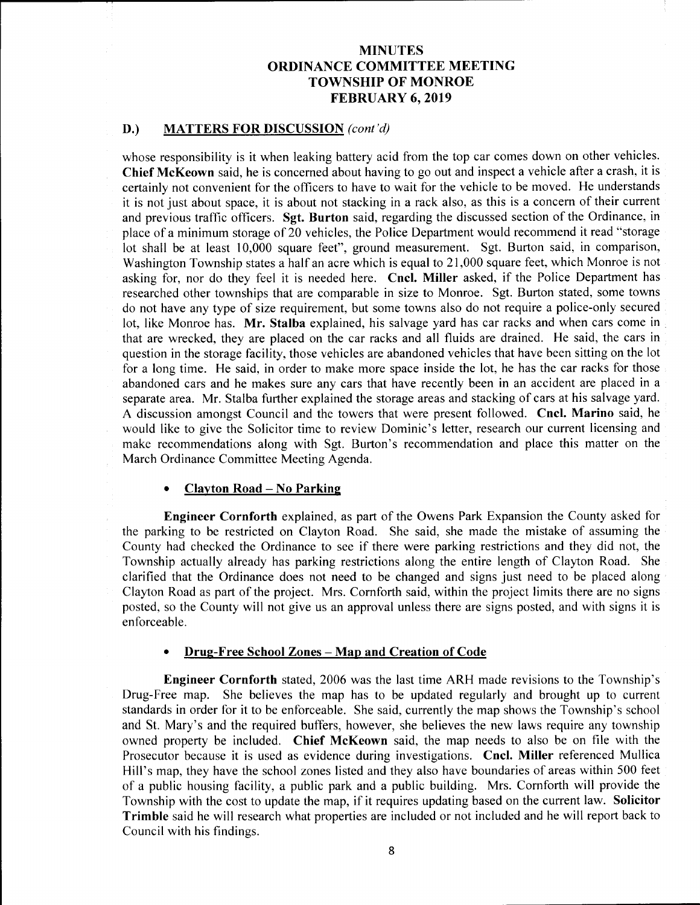## D.) MATTERS FOR DISCUSSION (cont'd)

whose responsibility is it when leaking battery acid from the top car comes down on other vehicles. Chief McKeown said, he is concerned about having to go out and inspect a vehicle after <sup>a</sup> crash, it is certainly not convenient for the officers to have to wait for the vehicle to be moved. He understands it is not just about space, it is about not stacking in <sup>a</sup> rack also, as this is <sup>a</sup> concern of their current and previous traffic officers. Sgt. Burton said, regarding the discussed section of the Ordinance, in place of <sup>a</sup> minimum storage of 20 vehicles, the Police Department would recommend it read " storage lot shall be at least 10,000 square feet", ground measurement. Sgt. Burton said, in comparison, Washington Township states a half an acre which is equal to 21, 000 square feet, which Monroe is not asking for, nor do they feel it is needed here. Cncl. Miller asked, if the Police Department has researched other townships that are comparable in size to Monroe. Sgt. Burton stated, some towns do not have any type of size requirement, but some towns also do not require <sup>a</sup> police-only secured lot, like Monroe has. Mr. Stalba explained, his salvage yard has car racks and when cars come in that are wrecked, they are placed on the car racks and all fluids are drained. He said, the cars in question in the storage facility, those vehicles are abandoned vehicles that have been sitting on the lot for a long time. He said, in order to make more space inside the lot, he has the car racks for those abandoned cars and he makes sure any cars that have recently been in an accident are placed in a separate area. Mr. Stalba further explained the storage areas and stacking of cars at his salvage yard. A discussion amongst Council and the towers that were present followed. Cncl. Marino said, he would like to give the Solicitor time to review Dominic's letter, research our current licensing and make recommendations along with Sgt. Burton's recommendation and place this matter on the March Ordinance Committee Meeting Agenda.

#### Clayton Road— No Parking

Engineer Cornforth explained, as part of the Owens Park Expansion the County asked for the parking to be restricted on Clayton Road. She said, she made the mistake of assuming the County had checked the Ordinance to see if there were parking restrictions and they did not, the Township actually already has parking restrictions along the entire length of Clayton Road. She clarified that the Ordinance does not need to be changed and signs just need to be placed along Clayton Road as part of the project. Mrs. Cornforth said, within the project limits there are no signs posted, so the County will not give us an approval unless there are signs posted, and with signs it is enforceable.

#### Drug-Free School Zones— Map and Creation of Code

Engineer Cornforth stated, 2006 was the last time ARH made revisions to the Township's Drug-Free map. She believes the map has to be updated regularly and brought up to current standards in order for it to be enforceable. She said, currently the map shows the Township's school and St. Mary's and the required buffers, however, she believes the new laws require any township owned property be included. Chief McKeown said, the map needs to also be on file with the Prosecutor because it is used as evidence during investigations. Cncl. Miller referenced Mullica Hill's map, they have the school zones listed and they also have boundaries of areas within 500 feet of <sup>a</sup> public housing facility, <sup>a</sup> public park and <sup>a</sup> public building. Mrs. Cornforth will provide the Township with the cost to update the map, if it requires updating based on the current law. Solicitor Trimble said he will research what properties are included or not included and he will report back to Council with his findings.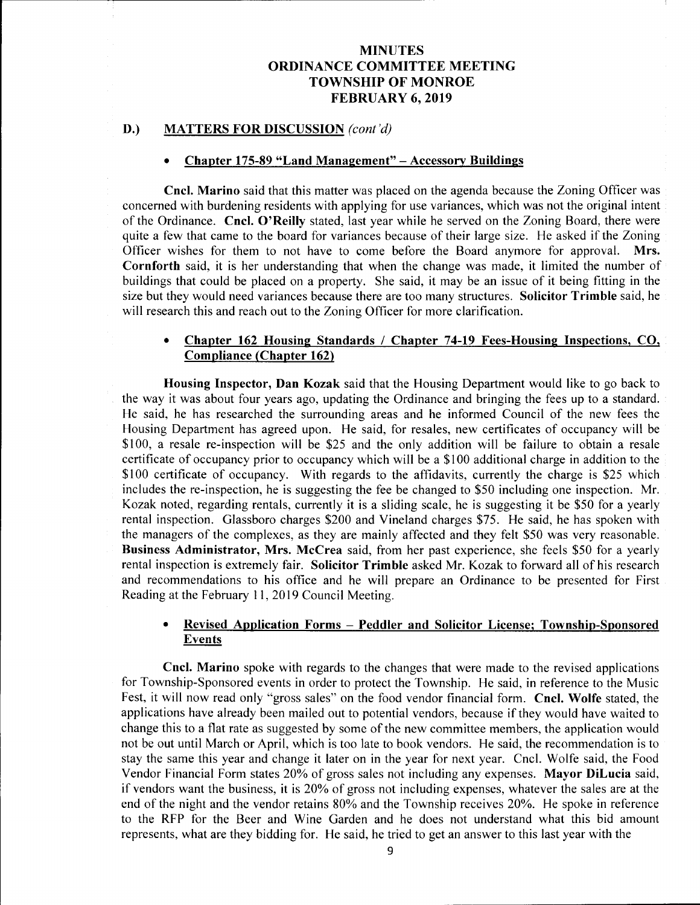### D.) MATTERS FOR DISCUSSION (cont'd)

### Chapter 175-89 "Land Management" – Accessory Buildings

Cncl. Marino said that this matter was placed on the agenda because the Zoning Officer was concerned with burdening residents with applying for use variances, which was not the original intent of the Ordinance. Cncl. O' Reilly stated, last year while he served on the Zoning Board, there were quite a few that came to the board for variances because of their large size. He asked if the Zoning Officer wishes for them to not have to come before the Board anymore for approval. Mrs. Officer wishes for them to not have to come before the Board anymore for approval. Cornforth said, it is her understanding that when the change was made, it limited the number of buildings that could be placed on <sup>a</sup> property. She said, it may be an issue of it being fitting in the size but they would need variances because there are too many structures. Solicitor Trimble said, he will research this and reach out to the Zoning Officer for more clarification.

#### $\bullet$ Chapter 162 Housing Standards / Chapter 74-19 Fees-Housing Inspections, CO, Compliance (Chapter 162)

Housing Inspector, Dan Kozak said that the Housing Department would like to go back to the way it was about four years ago, updating the Ordinance and bringing the fees up to a standard. He said, he has researched the surrounding areas and he informed Council of the new fees the Housing Department has agreed upon. He said, for resales, new certificates of occupancy will be \$100, a resale re-inspection will be \$25 and the only addition will be failure to obtain a resale certificate of occupancy prior to occupancy which will be a \$ <sup>100</sup> additional charge in addition to the \$100 certificate of occupancy. With regards to the affidavits, currently the charge is \$25 which includes the re-inspection, he is suggesting the fee be changed to \$50 including one inspection. Mr. Kozak noted, regarding rentals, currently it is a sliding scale, he is suggesting it be \$50 for a yearly rental inspection. Glassboro charges \$200 and Vineland charges \$75. He said, he has spoken with the managers of the complexes, as they are mainly affected and they felt \$<sup>50</sup> was very reasonable. Business Administrator, Mrs. McCrea said, from her past experience, she feels \$50 for a yearly rental inspection is extremely fair. Solicitor Trimble asked Mr. Kozak to forward all of his research and recommendations to his office and he will prepare an Ordinance to be presented for First Reading at the February 11, 2019 Council Meeting.

# Revised Application Forms — Peddler and Solicitor License; Township-Sponsored Events

Cncl. Marino spoke with regards to the changes that were made to the revised applications for Township-Sponsored events in order to protect the Township. He said, in reference to the Music Fest, it will now read only "gross sales" on the food vendor financial form. Cncl. Wolfe stated, the applications have already been mailed out to potential vendors, because if they would have waited to change this to <sup>a</sup> flat rate as suggested by some of the new committee members, the application would not be out until March or April, which is too late to book vendors. He said, the recommendation is to stay the same this year and change it later on in the year for next year. Cncl. Wolfe said, the Food Vendor Financial Form states 20% of gross sales not including any expenses. Mayor DiLucia said, if vendors want the business, it is 20% of gross not including expenses, whatever the sales are at the end of the night and the vendor retains 80% and the Township receives 20%. He spoke in reference to the RFP for the Beer and Wine Garden and he does not understand what this bid amount represents, what are they bidding for. He said, he tried to get an answer to this last year with the